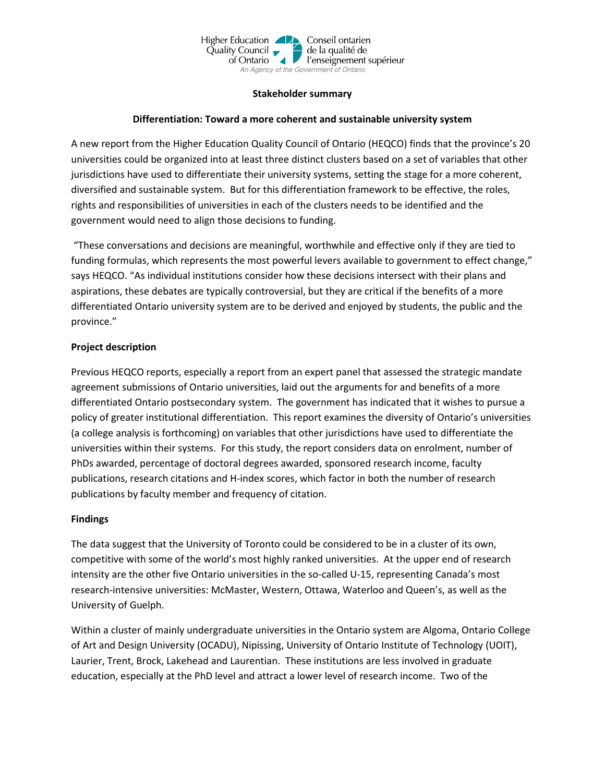

### Stakeholder summary

## Differentiation: Toward a more coherent and sustainable university system

A new report from the Higher Education Quality Council of Ontario (HEQCO) finds that the province's 20 universities could be organized into at least three distinct clusters based on a set of variables that other jurisdictions have used to differentiate their university systems, setting the stage for a more coherent, diversified and sustainable system. But for this differentiation framework to be effective, the roles, rights and responsibilities of universities in each of the clusters needs to be identified and the government would need to align those decisions to funding.

 "These conversations and decisions are meaningful, worthwhile and effective only if they are tied to funding formulas, which represents the most powerful levers available to government to effect change," says HEQCO. "As individual institutions consider how these decisions intersect with their plans and aspirations, these debates are typically controversial, but they are critical if the benefits of a more differentiated Ontario university system are to be derived and enjoyed by students, the public and the province."

## Project description

Previous HEQCO reports, especially a report from an expert panel that assessed the strategic mandate agreement submissions of Ontario universities, laid out the arguments for and benefits of a more differentiated Ontario postsecondary system. The government has indicated that it wishes to pursue a policy of greater institutional differentiation. This report examines the diversity of Ontario's universities (a college analysis is forthcoming) on variables that other jurisdictions have used to differentiate the universities within their systems. For this study, the report considers data on enrolment, number of PhDs awarded, percentage of doctoral degrees awarded, sponsored research income, faculty publications, research citations and H-index scores, which factor in both the number of research publications by faculty member and frequency of citation.

# Findings

The data suggest that the University of Toronto could be considered to be in a cluster of its own, competitive with some of the world's most highly ranked universities. At the upper end of research intensity are the other five Ontario universities in the so-called U-15, representing Canada's most research-intensive universities: McMaster, Western, Ottawa, Waterloo and Queen's, as well as the University of Guelph.

Within a cluster of mainly undergraduate universities in the Ontario system are Algoma, Ontario College of Art and Design University (OCADU), Nipissing, University of Ontario Institute of Technology (UOIT), Laurier, Trent, Brock, Lakehead and Laurentian. These institutions are less involved in graduate education, especially at the PhD level and attract a lower level of research income. Two of the